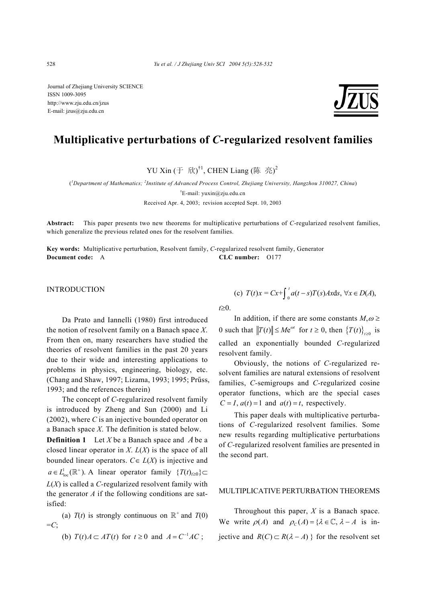Journal of Zhejiang University SCIENCE ISSN 1009-3095 http://www.zju.edu.cn/jzus E-mail: jzus@zju.edu.cn

## **Multiplicative perturbations of** *C***-regularized resolvent families**

YU Xin  $(\pm \pi)$ <sup>†1</sup>, CHEN Liang (陈亮)<sup>2</sup>

( *1 Department of Mathematics; <sup>2</sup> Institute of Advanced Process Control, Zhejiang University, Hangzhou 310027, China*) † E-mail: yuxin@zju.edu.cn

Received Apr. 4, 2003; revision accepted Sept. 10, 2003

**Abstract:** This paper presents two new theorems for multiplicative perturbations of *C*-regularized resolvent families, which generalize the previous related ones for the resolvent families.

**Key words:** Multiplicative perturbation, Resolvent family, *C*-regularized resolvent family, Generator **Document code:** A **CLC number:** O177

**INTRODUCTION** 

Da Prato and Iannelli (1980) first introduced the notion of resolvent family on a Banach space *X*. From then on, many researchers have studied the theories of resolvent families in the past 20 years due to their wide and interesting applications to problems in physics, engineering, biology, etc. (Chang and Shaw, 1997; Lizama, 1993; 1995; Prűss, 1993; and the references therein)

The concept of *C*-regularized resolvent family is introduced by Zheng and Sun (2000) and Li (2002), where *C* is an injective bounded operator on a Banach space *X*. The definition is stated below.

**Definition 1** Let *X* be a Banach space and *A* be a closed linear operator in *X*. *L*(*X*) is the space of all bounded linear operators.  $C \in L(X)$  is injective and  $a \in L^1_{loc}(\mathbb{R}^+)$ . A linear operator family  $\{T(t)_{t\geq0}\} \subset$ *L*(*X*) is called a *C-*regularized resolvent family with the generator  $A$  if the following conditions are satisfied:

(a)  $T(t)$  is strongly continuous on  $\mathbb{R}^+$  and  $T(0)$  $=C$ ;

(b)  $T(t)A \subset AT(t)$  for  $t \ge 0$  and  $A = C^{-1}AC$ ;

(c) 
$$
T(t)x = Cx + \int_0^t a(t-s)T(s)A x ds, \forall x \in D(A)
$$
,

*t*≥0.

In addition, if there are some constants  $M, \omega \geq$ 0 such that  $||T(t)|| \le Me^{\omega t}$  for  $t \ge 0$ , then  $\{T(t)\}_{t \ge 0}$  is called an exponentially bounded *C-*regularized resolvent family.

Obviously, the notions of *C-*regularized resolvent families are natural extensions of resolvent families, *C-*semigroups and *C-*regularized cosine operator functions, which are the special cases  $C = I$ ,  $a(t) = 1$  and  $a(t) = t$ , respectively.

This paper deals with multiplicative perturbations of *C-*regularized resolvent families. Some new results regarding multiplicative perturbations of *C-*regularized resolvent families are presented in the second part.

## MULTIPLICATIVE PERTURBATION THEOREMS

Throughout this paper, *X* is a Banach space. We write  $\rho(A)$  and  $\rho_C(A) = \{ \lambda \in \mathbb{C}, \lambda - A \text{ is in-} \}$ jective and  $R(C) \subset R(\lambda - A)$  } for the resolvent set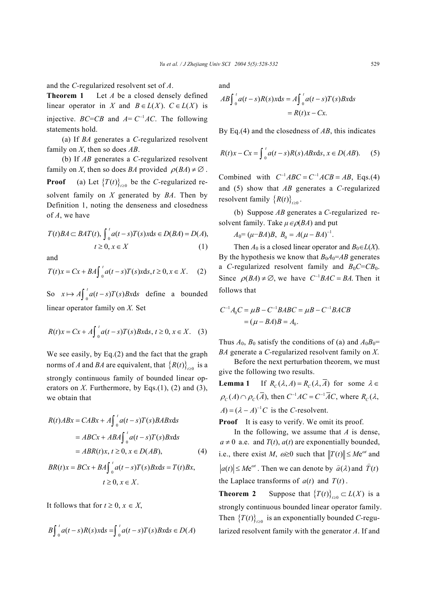and the *C-*regularized resolvent set of *A*.

**Theorem 1** Let *A* be a closed densely defined linear operator in *X* and  $B \in L(X)$ .  $C \in L(X)$  is injective. *BC*=*CB* and  $A = C^{-1}AC$ . The following statements hold.

(a) If *BA* generates a *C-*regularized resolvent family on *X*, then so does *AB*.

(b) If *AB* generates a *C-*regularized resolvent family on *X*, then so does *BA* provided  $\rho(BA) \neq \emptyset$ . **Proof** (a) Let  ${T(t)}_{t\geq0}$  be the *C*-regularized resolvent family on *X* generated by *BA*. Then by Definition 1, noting the denseness and closedness of *A*, we have

$$
T(t)BA \subset BAT(t), \int_{0}^{t} a(t-s)T(s)xds \in D(BA) = D(A),
$$
  

$$
t \ge 0, x \in X
$$
 (1)

and

$$
T(t)x = Cx + BA \int_0^t a(t-s)T(s)x \, ds, t \ge 0, x \in X. \tag{2}
$$

So  $x \mapsto A \int_0^t a(t-s)T(s)Bx ds$  define a bounded linear operator family on *X.* Set

$$
R(t)x = Cx + A \int_0^t a(t-s)T(s)Bx \, ds, \, t \ge 0, \, x \in X. \tag{3}
$$

We see easily, by Eq.(2) and the fact that the graph norms of *A* and *BA* are equivalent, that  ${R(t)}_{t=0}$  is a strongly continuous family of bounded linear operators on  $X$ . Furthermore, by Eqs.(1), (2) and (3), we obtain that

$$
R(t)ABx = CABx + A\int_0^t a(t-s)T(s)BABxds
$$
  
=  $ABCx + ABA\int_0^t a(t-s)T(s)Bxds$   
=  $ABR(t)x, t \ge 0, x \in D(AB),$  (4)  
 $BR(t)x = BCx + BA\int_0^t a(t-s)T(s)Bxds = T(t)Bx,$   
 $t \ge 0, x \in X.$ 

It follows that for  $t \geq 0$ ,  $x \in X$ ,

$$
B\int_0^t a(t-s)R(s)xds = \int_0^t a(t-s)T(s)Bxds \in D(A)
$$

and

$$
AB \int_0^t a(t-s)R(s)x ds = A \int_0^t a(t-s)T(s)Bx ds
$$
  
= R(t)x - Cx.

By Eq.(4) and the closedness of *AB*, this indicates

$$
R(t)x - Cx = \int_0^t a(t-s)R(s)ABxds, x \in D(AB). \tag{5}
$$

Combined with  $C^{-1}ABC = C^{-1}ACB = AB$ , Eqs.(4) and (5) show that *AB* generates a *C-*regularized resolvent family  ${R(t)}_{\infty}$ .

(b) Suppose *AB* generates a *C-*regularized resolvent family. Take  $\mu \in \rho(BA)$  and put

$$
A_0 = (\mu - BA)B, \ B_0 = A(\mu - BA)^{-1}.
$$

Then  $A_0$  is a closed linear operator and  $B_0 \in L(X)$ . By the hypothesis we know that  $B_0A_0=AB$  generates a *C*-regularized resolvent family and  $B_0C = CB_0$ . Since  $\rho (BA) \neq \emptyset$ , we have  $C^{-1}BAC = BA$ . Then it follows that

$$
C^{-1}A_0C = \mu B - C^{-1}BABC = \mu B - C^{-1}BACB
$$
  
=  $(\mu - BA)B = A_0.$ 

Thus  $A_0$ ,  $B_0$  satisfy the conditions of (a) and  $A_0B_0=$ *BA* generate a *C-*regularized resolvent family on *X*.

Before the next perturbation theorem, we must give the following two results.

**Lemma 1** If  $R_c(\lambda, A) = R_c(\lambda, \overline{A})$  for some  $\lambda \in$  $\rho_c(A) \cap \rho_c(\overline{A})$ , then  $C^{-1}AC = C^{-1}\overline{AC}$ , where  $R_c(\lambda, \overline{A})$  $A = (\lambda - A)^{-1}C$  is the *C*-resolvent.

**Proof** It is easy to verify. We omit its proof.

In the following, we assume that *A* is dense,  $a \neq 0$  a.e. and  $T(t)$ ,  $a(t)$  are exponentially bounded, i.e., there exist *M*,  $\omega \ge 0$  such that  $||T(t)|| \le Me^{\omega t}$  and  $|a(t)| \le Me^{\omega t}$ . Then we can denote by  $\hat{a}(\lambda)$  and  $\hat{T}(t)$ the Laplace transforms of  $a(t)$  and  $T(t)$ .

**Theorem 2** Suppose that  $\{T(t)\}_{t\geq0} \subset L(X)$  is a strongly continuous bounded linear operator family. Then  ${T(t)}_{t>0}$  is an exponentially bounded *C*-regularized resolvent family with the generator *A*. If and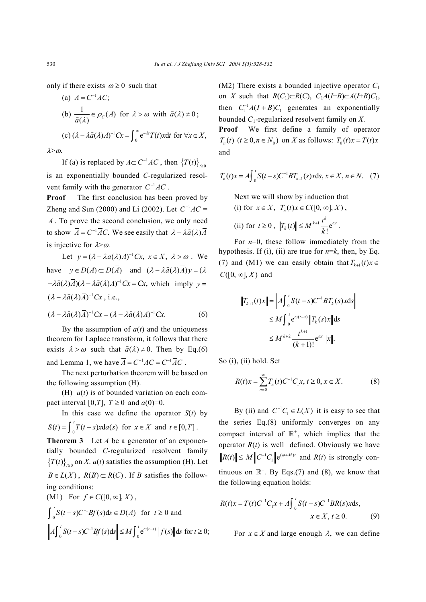only if there exists  $\omega \geq 0$  such that

(a) 
$$
A = C^{-1}AC
$$
;  
\n(b)  $\frac{1}{\hat{a}(\lambda)} \in \rho_C(A)$  for  $\lambda > \omega$  with  $\hat{a}(\lambda) \neq 0$ ;  
\n(c)  $(\lambda - \lambda \hat{a}(\lambda)A)^{-1}Cx = \int_0^\infty e^{-\lambda t} T(t) x dt$  for  $\forall x \in X$ ,

 $λ > ω$ .

If (a) is replaced by  $A \subset C^{-1}AC$ , then  $\{T(t)\}_{t \geq 0}$ is an exponentially bounded *C-*regularized resolvent family with the generator  $C^{-1}AC$ .

**Proof** The first conclusion has been proved by Zheng and Sun (2000) and Li (2002). Let  $C^{-1}AC =$  $\overline{A}$ . To prove the second conclusion, we only need to show  $\overline{A} = C^{-1} \overline{A} C$ . We see easily that  $\lambda - \lambda \hat{a} (\lambda) \overline{A}$ is injective for  $\lambda > \omega$ .

Let  $v = (\lambda - \lambda a(\lambda) A)^{-1} Cx$ ,  $x \in X$ ,  $\lambda > \omega$ . We have  $y \in D(A) \subset D(\overline{A})$  and  $(\lambda - \lambda \hat{a}(\lambda)\overline{A})y = (\lambda$  $-\lambda \hat{a}(\lambda) \overline{A}$  $(\lambda - \lambda \hat{a}(\lambda)A)^{-1}$  $Cx = Cx$ , which imply  $y =$  $(\lambda - \lambda \hat{a}(\lambda) \overline{A})^{-1}$  Cx, i.e.,

$$
(\lambda - \lambda \widehat{a}(\lambda)\overline{A})^{-1}Cx = (\lambda - \lambda \widehat{a}(\lambda)A)^{-1}Cx.
$$
 (6)

By the assumption of  $a(t)$  and the uniqueness theorem for Laplace transform, it follows that there exists  $\lambda > \omega$  such that  $\hat{a}(\lambda) \neq 0$ . Then by Eq.(6) and Lemma 1, we have  $\overline{A} = C^{-1}AC = C^{-1}\overline{A}C$ .

The next perturbation theorem will be based on the following assumption (H).

(H) *a*(*t*) is of bounded variation on each compact interval [0,*T*],  $T \ge 0$  and  $a(0)=0$ .

In this case we define the operator  $S(t)$  by  $S(t) = \int_0^t T(t-s)x da(s)$  for  $x \in X$  and  $t \in [0, T]$ .

**Theorem 3** Let *A* be a generator of an exponentially bounded *C-*regularized resolvent family  ${T(t)}_{t=0}$  on *X*. *a*(*t*) satisfies the assumption (H). Let  $B \in L(X)$ ,  $R(B) \subset R(C)$ . If *B* satisfies the following conditions:  $(M1)$  For  $f \in C([0, \infty], X)$ ,

$$
\int_0^t S(t-s)C^{-1}Bf(s)ds \in D(A) \text{ for } t \ge 0 \text{ and}
$$
  

$$
\left\|A\int_0^t S(t-s)C^{-1}Bf(s)ds\right\| \le M \int_0^t e^{\omega(t-s)}\left\|f(s)\right\| ds \text{ for } t \ge 0;
$$

(M2) There exists a bounded injective operator *C*<sup>1</sup> on *X* such that  $R(C_1) \subset R(C)$ ,  $C_1A(I+B) \subset A(I+B)C_1$ , then  $C_1^{-1}A(I + B)C_1$  generates an exponentially bounded *C*1-regularized resolvent family on *X*.

**Proof** We first define a family of operator  $T_n(t)$   $(t \geq 0, n \in N_0)$  on X as follows:  $T_n(t)x = T(t)x$ and

$$
T_n(t)x = A \int_0^t S(t-s)C^{-1} B T_{n-1}(s)x \, ds, \, x \in X, \, n \in N. \tag{7}
$$

Next we will show by induction that (i) for  $x \in X$ ,  $T_n(t)x \in C([0, \infty], X)$ , *k*

(ii) for 
$$
t \ge 0
$$
,  $||T_k(t)|| \le M^{k+1} \frac{t^k}{k!} e^{\omega t}$ .

For  $n=0$ , these follow immediately from the hypothesis. If (i), (ii) are true for  $n=k$ , then, by Eq. (7) and (M1) we can easily obtain that  $T_{k+1}(t)x \in$  $C([0, \infty], X)$  and

$$
||T_{k+1}(t)x|| = ||A\int_0^t S(t-s)C^{-1}BT_k(s)xds||
$$
  
\n
$$
\leq M \int_0^t e^{\omega(t-s)} ||T_k(s)x|| ds
$$
  
\n
$$
\leq M^{k+2} \frac{t^{k+1}}{(k+1)!} e^{\omega t} ||x||.
$$

So (i), (ii) hold. Set

$$
R(t)x = \sum_{n=0}^{\infty} T_n(t)C^{-1}C_1x, t \ge 0, x \in X.
$$
 (8)

By (ii) and  $C^{-1}C_1 \in L(X)$  it is easy to see that the series Eq.(8) uniformly converges on any compact interval of  $\mathbb{R}^+$ , which implies that the operator  $R(t)$  is well defined. Obviously we have  $R(t)$   $\leq M$   $\left\| C^{-1}C_1 \right\| e^{(\omega+M)t}$  and  $R(t)$  is strongly continuous on  $\mathbb{R}^+$ . By Eqs.(7) and (8), we know that the following equation holds:

$$
R(t)x = T(t)C^{-1}C_1x + A\int_0^t S(t-s)C^{-1}BR(s)xds,
$$
  
\n $x \in X, t \ge 0.$  (9)

For  $x \in X$  and large enough  $\lambda$ , we can define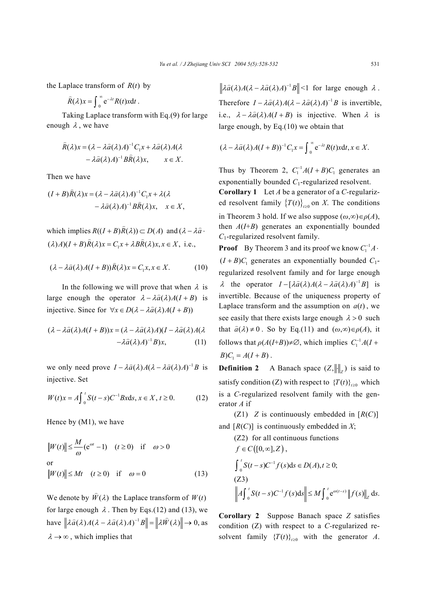the Laplace transform of  $R(t)$  by

$$
\widehat{R}(\lambda)x = \int_0^\infty e^{-\lambda t} R(t)x dt.
$$

Taking Laplace transform with Eq.(9) for large enough  $\lambda$ , we have

$$
\hat{R}(\lambda)x = (\lambda - \lambda \hat{a}(\lambda)A)^{-1}C_1x + \lambda \hat{a}(\lambda)A(\lambda - \lambda \hat{a}(\lambda)A)^{-1}B\hat{R}(\lambda)x, \qquad x \in X.
$$

Then we have

$$
(I + B)\hat{R}(\lambda)x = (\lambda - \lambda \hat{a}(\lambda)A)^{-1}C_1x + \lambda(\lambda - \lambda \hat{a}(\lambda)A)^{-1}B\hat{R}(\lambda)x, \quad x \in X,
$$

which implies  $R((I + B)\hat{R}(\lambda)) \subset D(A)$  and  $(\lambda - \lambda \hat{a}$ .  $(\lambda)A( (I + B)\overline{R}(\lambda)x = C_1x + \lambda BR(\lambda)x, x \in X, \text{ i.e.,}$ 

$$
(\lambda - \lambda \widehat{a}(\lambda)A(I + B))\widehat{R}(\lambda)x = C_1x, x \in X.
$$
 (10)

In the following we will prove that when  $\lambda$  is large enough the operator  $\lambda - \lambda \hat{a}(\lambda) A(I + B)$  is injective. Since for  $\forall x \in D(\lambda - \lambda \hat{a}(\lambda)A(I + B))$ 

$$
(\lambda - \lambda \widehat{a}(\lambda)A(I + B))x = (\lambda - \lambda \widehat{a}(\lambda)A)(I - \lambda \widehat{a}(\lambda)A(\lambda
$$

$$
-\lambda \widehat{a}(\lambda)A)^{-1}B)x, \qquad (11)
$$

we only need prove  $I - \lambda \hat{a}(\lambda)A(\lambda - \lambda \hat{a}(\lambda)A)^{-1}B$  is injective. Set

$$
W(t)x = A \int_0^t S(t-s)C^{-1}Bx \, ds, \, x \in X, \, t \ge 0. \tag{12}
$$

Hence by (M1), we have

$$
||W(t)|| \le \frac{M}{\omega} (e^{\omega t} - 1) \quad (t \ge 0) \quad \text{if} \quad \omega > 0
$$
  
or  

$$
||W(t)|| \le Mt \quad (t \ge 0) \quad \text{if} \quad \omega = 0
$$
 (13)

We denote by  $\hat{W}(\lambda)$  the Laplace transform of  $W(t)$ for large enough  $\lambda$ . Then by Eqs.(12) and (13), we have  $\|\lambda \hat{a}(\lambda)A(\lambda - \lambda \hat{a}(\lambda)A)^{-1}B\| = \|\lambda \hat{W}(\lambda)\| \to 0$ , as  $\lambda \rightarrow \infty$ , which implies that

 $\left\| \lambda \hat{a}(\lambda) A(\lambda - \lambda \hat{a}(\lambda)A)^{-1} B \right\| \leq 1$  for large enough  $\lambda$ . Therefore  $I - \lambda \hat{a}(\lambda)A(\lambda - \lambda \hat{a}(\lambda)A)^{-1}B$  is invertible, i.e.,  $\lambda - \lambda \hat{a}(\lambda) A(I + B)$  is injective. When  $\lambda$  is large enough, by Eq.(10) we obtain that

$$
(\lambda - \lambda \widehat{a}(\lambda)A(I + B))^{-1}C_1x = \int_0^\infty e^{-\lambda t} R(t)xdt, x \in X.
$$

Thus by Theorem 2,  $C_1^{-1}A(I + B)C_1$  generates an exponentially bounded *C*<sub>1</sub>-regularized resolvent.

**Corollary 1** Let *A* be a generator of a *C-*regularized resolvent family  ${T(t)}_{t\ge0}$  on *X*. The conditions in Theorem 3 hold. If we also suppose  $(\omega, \infty) \in \rho(A)$ , then *A*(*I*+*B*) generates an exponentially bounded *C*1-regularized resolvent family.

**Proof** By Theorem 3 and its proof we know  $C_1^{-1}A$ .  $(I + B)C_1$  generates an exponentially bounded  $C_1$ regularized resolvent family and for large enough  $\lambda$  the operator  $I - [\lambda \hat{a}(\lambda)A(\lambda - \lambda \hat{a}(\lambda)A)^{-1}B]$  is invertible. Because of the uniqueness property of Laplace transform and the assumption on  $a(t)$ , we see easily that there exists large enough  $\lambda > 0$  such that  $\hat{a}(\lambda) \neq 0$ . So by Eq.(11) and  $(\omega, \infty) \in \rho(A)$ , it follows that  $\rho(A(I+B))\neq\emptyset$ , which implies  $C_1^{-1}A(I+B)$  $B)C_1 = A(I + B)$ .

**Definition 2** A Banach space  $(Z, ||\cdot||_Z)$  is said to satisfy condition (Z) with respect to  ${T(t)}_{t\geq0}$  which is a *C-*regularized resolvent family with the generator *A* if

(Z1) *Z* is continuously embedded in  $[R(C)]$ and  $[R(C)]$  is continuously embedded in *X*;

\n- (Z2) for all continuous functions\n 
$$
f \in C([0, \infty], Z),
$$
\n
$$
\int_0^t S(t - s) C^{-1} f(s) \, \mathrm{d}s \in D(A), t \ge 0;
$$
\n
\n- (Z3)\n
$$
\left\| A \int_0^t S(t - s) C^{-1} f(s) \, \mathrm{d}s \right\| \le M \int_0^t e^{\omega(t - s)} \left\| f(s) \right\|_Z \, \mathrm{d}s.
$$
\n
\n

**Corollary 2** Suppose Banach space *Z* satisfies condition (Z) with respect to a *C-*regularized resolvent family  ${T(t)}_{t\ge0}$  with the generator *A*.